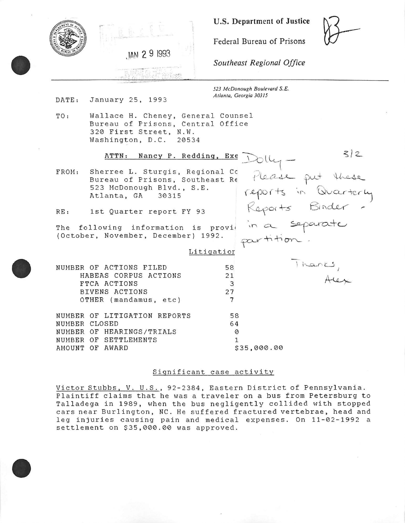

**U.S. Department of Justice** 

Federal Bureau of Prisons

*Southeast Regional Office* 

*523 McDonough Boulevard S.E. Atlanta, Georgia 30315* 

DATE: January 25, 1993

TO: Wallace H. Cheney, General Counsel Bureau of Prisons, Central Office 320 First Street, N.W.<br>Washington, D.C. 20534 Washington, D.C.

|                         | ATTN: Nancy P. Redding, Exe                                                                                          |                          |               | 3/2                                      |
|-------------------------|----------------------------------------------------------------------------------------------------------------------|--------------------------|---------------|------------------------------------------|
| FROM:                   | Sherree L. Sturgis, Regional Co<br>Bureau of Prisons, Southeast Re<br>523 McDonough Blvd., S.E.<br>Atlanta, GA 30315 |                          |               | Please put these<br>reports in Quarterly |
| RE:                     | 1st Quarter report FY 93                                                                                             |                          |               | Reports Binder -                         |
|                         | The following information is provid<br>(October, November, December) 1992.                                           |                          | in a separate |                                          |
|                         |                                                                                                                      | Litigation               |               |                                          |
|                         | NUMBER OF ACTIONS FILED<br>HABEAS CORPUS ACTIONS<br>FTCA ACTIONS<br>BIVENS ACTIONS<br>OTHER (mandamus, etc)          | 58<br>21<br>3<br>27<br>7 |               | Thanks,                                  |
| NUMBER<br>NUMBER CLOSED | OF LITIGATION REPORTS                                                                                                | 58<br>64                 |               |                                          |
| NUMBER                  | OF HEARINGS/TRIALS<br>NUMBER OF SETTLEMENTS<br>AMOUNT OF AWARD                                                       | Ø                        | \$35,000.00   |                                          |
|                         |                                                                                                                      |                          |               |                                          |

### Significant case activity

Victor Stubbs, V. U.S., 92-2384, Eastern District of Pennsylvania. Plaintiff claims that he was a traveler on a bus from Petersburg to Talladega in 1989, when the bus negligently collided with stopped cars near Burlington, NC. He suffered fractured vertebrae, head and leg injuries causing pain and medical expenses. On 11-02-1992 a settlement on \$35,000.00 was approved.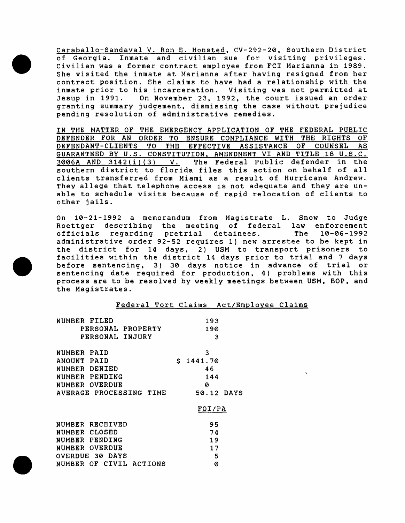Caraballo-Sandaval V. Ron E. Honsted, CV-292-20, Southern District of Georgia. Inmate and civilian sue for visiting privileges. Civilian was a former contract employee from FCI Marianna in 1989. She visited the inmate at Marianna after having resigned from her contract position. She claims to have had a relationship with the inmate prior to his incarceration. Visiting was not permitted at<br>Jesup in 1991. On November 23, 1992, the court issued an order On November 23, 1992, the court issued an order granting summary judgement, dismissing the case without prejudice pending resolution of administrative remedies.

IN THE MATTER OF THE EMERGENCY APPLICATION OF THE FEDERAL PUBLIC DEFENDER FOR AN ORDER TO ENSURE COMPLIANCE WITH THE RIGHTS OF DEFENDANT-CLIENTS TO THE EFFECTIVE ASSISTANCE OF COUNSEL AS GUARANTEED BY U.S. CONSTITUTION, AMENDMENT VI AND TITLE 18 U.S.C.<br>3006A AND 3142(i)(3) V. The Federal Public defender in the The Federal Public defender in the southern district to florida files this action on behalf of all clients transferred from Miami as a result of Hurricane Andrew. They allege that telephone access is not adequate and they are unable to schedule visits because of rapid relocation of clients to other jails.

On 10-21-1992 a memorandum from Magistrate L. Snow to Judge Roettger describing the meeting of federal law enforcement<br>officials regarding pretrial detainees. The 10-06-1992 officials regarding pretrial detainees. administrative order 92-52 requires 1) new arrestee to be kept in the district for 14 days, 2) USM to transport prisoners to facilities within the district 14 days prior to trial and 7 days before sentencing, 3) 30 days notice in advance of trial or sentencing date required for production, 4) problems with this process are to be resolved by weekly meetings between USM, BOP, and the Magistrates.

|  | Federal Tort Claims Act/Employee Claims |  |
|--|-----------------------------------------|--|
|  |                                         |  |

| NUMBER FILED                      | 193           |
|-----------------------------------|---------------|
| PERSONAL PROPERTY                 | 190           |
| PERSONAL INJURY                   | З             |
|                                   |               |
| <b>NUMBER</b><br>PAID             | 3             |
| AMOUNT<br>PAID                    | S.<br>1441.70 |
| DENIED<br>NUMBER                  | 46            |
| PENDING<br><b>NUMBER</b>          | 144           |
| OVERDUE<br>NUMBER                 | Ø             |
| PROCESSING TIME<br><b>AVERAGE</b> | 50.12 DAYS    |
|                                   | FOI/PA        |
| NUMBER RECEIVED                   | 95            |
| CLOSED<br>NUMBER                  | 74            |
| PENDING<br>NUMBER                 | 19            |
| OVERDUE<br>NUMBER                 | 17            |
| - 30-<br>OVERDUE<br>DAYS          | 5             |
| OF CIVIL<br>ACTIONS<br>NUMBER     | 0             |
|                                   |               |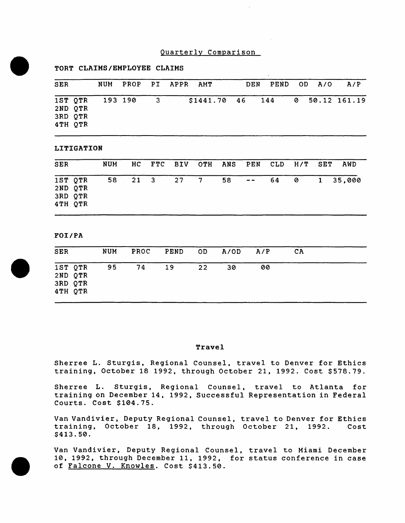# Quarterly Comparison

## TORT CLAIMS/EMPLOYEE CLAIMS

| <b>SER</b> |                                          | NUM PROP PI APPR AMT |          |                                 | DEN |  | PEND OD A/O | A/P |
|------------|------------------------------------------|----------------------|----------|---------------------------------|-----|--|-------------|-----|
|            | 1ST QTR<br>2ND QTR<br>3RD QTR<br>4TH QTR | 193 190              | $\sim$ 3 | \$1441.70 46 144 0 50.12 161.19 |     |  |             |     |

#### LITIGATION

| <b>SER</b> |                                          | NUM | HC . |              |    | FTC BIV OTH ANS PEN CLD H/T SET |          |  | AWD      |
|------------|------------------------------------------|-----|------|--------------|----|---------------------------------|----------|--|----------|
|            | 1ST QTR<br>2ND QTR<br>3RD QTR<br>4TH QTR |     |      | 58 21 3 27 7 | 58 |                                 | $-$ 64 0 |  | 1 35,000 |

#### FOI/PA

| <b>SER</b>                               | NUM | PROC | PEND | OD. | A/OD | A/P | CA |  |
|------------------------------------------|-----|------|------|-----|------|-----|----|--|
| 1ST QTR<br>2ND QTR<br>3RD QTR<br>4TH QTR | 95  | 74   | 19   | 22  | 30   | 00  |    |  |

### Travel

Sherree L. Sturgis, Regional Counsel, travel to Denver for Ethics training, October 18 1992, through October 21, 1992. Cost \$578.79.

Sherree L. Sturgis, Regional Counsel, travel to Atlanta for training on December 14, 1992, Successful Representation in Federal Courts. Cost \$104.75.

Van Vandivier, Deputy Regional Counsel, travel to Denver for Ethics training, October 18, 1992, through October 21, 1992. Cost \$413.50.

Van Vandivier, Deputy Regional Counsel, travel to Miami December 10, 1992, through December 11, 1992, for status conference in case of Falcone V. Knowles. Cost \$413.50.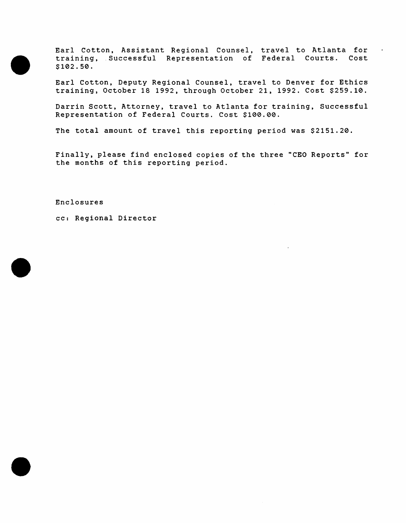Earl Cotton, Assistant Regional Counsel, travel to Atlanta for training, .Successful Representation of Federal Courts. Cost \$102.50.

 $\sim$ 

Earl Cotton, Deputy Regional Counsel, travel to Denver for Ethics training, October 18 1992, through October 21, 1992. Cost \$259.10.

Darrin Scott, Attorney, travel to Atlanta for training, Successful Representation of Federal Courts. Cost \$100.00.

The total amount of travel this reporting period was \$2151.20.

Finally, please find enclosed copies of the three "CEO Reports" for the months of this reporting period.

Enclosures

cc: Regional Director

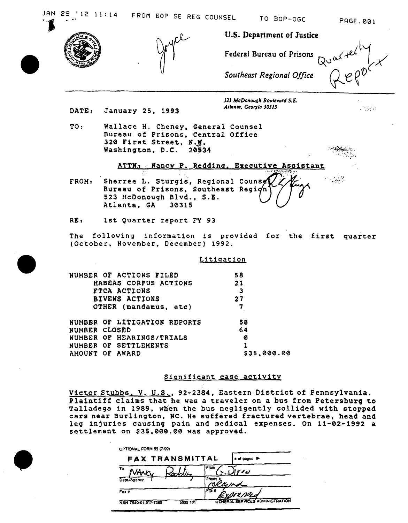TO BOP-OGC

PAGE.001



U.S. Department of Justice

Federal Bureau of Prisons

 $QU^{\alpha A}$ 

Southeast Regional Office

523 McDonough Boulevard S.E. Atlanta, Georgia 30315

 $\mathcal{L} \subset \mathcal{L}$  .

- DATE: January 25, 1993
- TO: Wallace H. Cheney, General Counsel Bureau of Prisons, Central Office 320 First Street, N.W. Washington, D.C. 20534

## ATTN: Fancy P. Redding, Executive Assistant

Sherree L. Sturgis, Regional Counse FROM: Bureau of Prisons, Southeast Regign 523 McDonough Blvd., S.E. Atlanta, GA 30315

RE: 1st Quarter report FY 93

The following information is provided for the first quarter (October, November, December) 1992.

### Litigation

| 58          |
|-------------|
| 21          |
| з           |
| 27          |
| 7           |
| 58          |
| 64          |
| ø           |
|             |
| \$35,000.00 |
|             |

# Significant case activity

Victor Stubbs, V. U.S., 92-2384, Eastern District of Pennsylvania. Plaintiff claims that he was a traveler on a bus from Petersburg to Talladega in 1989, when the bus negligently collided with stopped cars near Burlington, NC. He suffered fractured vertebrae, head and leg injuries causing pain and medical expenses. On 11-02-1992 a settlement on \$35,000.00 was approved.

| FAX TRANSMITTAL                  |      | s of pages >                    |
|----------------------------------|------|---------------------------------|
| т٥                               | From | رے ہے م                         |
| Dept./Agency                     |      |                                 |
| Fax #                            |      | <u>LIST Med</u>                 |
| 5099 101<br>NSN 7540-01-317-7368 |      | GENERAL SERVICES ADMINISTRATION |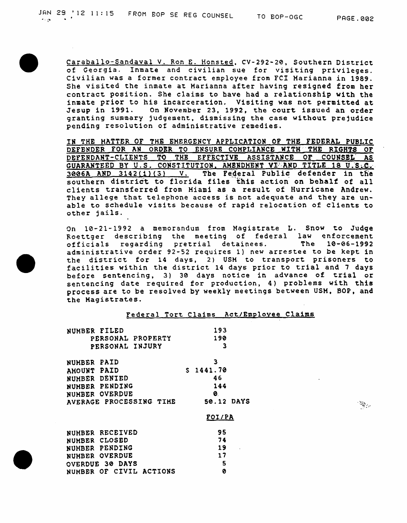Caraballo-Sandaval V. Ron E. Honsted, CV-292-20, Southern District of Georgia. Inmate and civilian sue for visiting privileges. Civilian was a former contract employee from FCI Marianna in 1989. She visited the inmate at Marianna after having resigned from her contract position. She claims to bave had a relationship with the inmate prior to his incarceration. Visiting was not permitted at Jesup in 1991. On November 23, 1992, the court issued an order granting summary judgement, dismissing the case without prejudice pending resolution of administrative remedies.

IN THE HATTER OF THE EMERGENCY APPLICATION or THE FEDERAL PUBLIC DEFENDER FOR AN ORDER TO ENSURE COMPLIANCE WITH THE RIGHTS OF DEFENDANT-CLIENTS TO THE EFFECTIVE ASSISTANCE OF COUNSEL AS GUARANTEED BY U.S. CONSTITUTION, AMBRDMENT VI AND TITLE 18 U.S.C.  $3006A$  AND  $3142(\textbf{i})(3)$  V. The Federal Public defender in the southern district to florida files this action on behalf of all clients transferred from Miami as a result of Hurricane Andrew. They allege that telephone access is not adequate and they are unable to schedule visits because of rapid relocation of clients to other jails.

On 10-21-1992 a memorandum from Magistrate L. Snow to Judge Roettger describing the meeting of federal law enforcement officials regarding pretrial detainees. The 10-06-1992 administrative order 92-52 requires l} new arrestee to be kept in the district for 14 days, 2) USM to transport prisoners to facilities within the district 14 days prior to trial and 7 days before sentencing, 3) 30 days notice in advance of trial or sentencing date required for production, 4) problems with this process are to be resolved by weekly meetings between USM. BOP, and the Magistrates.

| Federal Tort Claims Act/Employee Claims |  |  |  |
|-----------------------------------------|--|--|--|
|                                         |  |  |  |
|                                         |  |  |  |

| NUMBER FILED            | 193        |
|-------------------------|------------|
| PERSONAL PROPERTY       | 190        |
| PERSONAL INJURY         | 3          |
| <b>NUMBER PAID</b>      | З          |
| <b>AHOUNT PAID</b>      | S 1441.70  |
| NUMBER DENIED           | 46         |
| NUHBER PENDING          | 144        |
| NUMBER OVERDUE          | ø          |
| AVERAGE PROCESSING TIME | 50.12 DAYS |
|                         | FOI/PA     |
|                         |            |

| NUMBER RECEIVED         | 95 |
|-------------------------|----|
| NUMBER CLOSED           | 74 |
| NUMBER PENDING          | 19 |
| NUMBER OVERDUE          | 17 |
| OVERDUE 30 DAYS         | -5 |
| NUMBER OF CIVIL ACTIONS | ø  |

 $\mathcal{L}_{\mathcal{L}_{\mathcal{D}}}$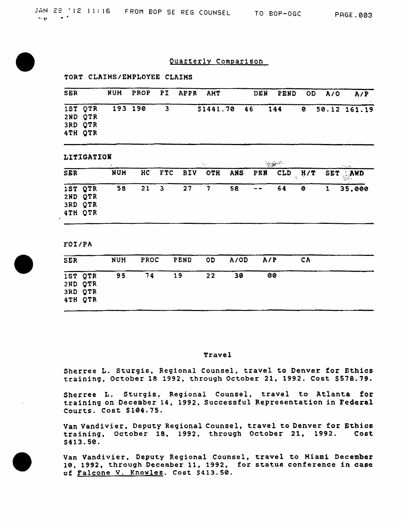# Quarterly Comparison

### TORT CLAIHS/EMPLOYEE CLAIMS

| <b>SER</b> |                    |         |                         | NUM PROP PI APPR AMT |                                 | DEN PEND OD A/O |  | A/P |
|------------|--------------------|---------|-------------------------|----------------------|---------------------------------|-----------------|--|-----|
|            | 1ST QTR<br>2ND QTR | 193 190 | $\overline{\mathbf{3}}$ |                      | \$1441.70 46 144 0 50.12 161.19 |                 |  |     |
|            | 3RD QTR<br>4TH QTR |         |                         |                      |                                 |                 |  |     |

### LITIGATION

| ------------<br>$\bullet$ |                                          |     |              | ing a |        |  | $\sim 10^{10}$ |  |    | Angeles. |                                     |        |
|---------------------------|------------------------------------------|-----|--------------|-------|--------|--|----------------|--|----|----------|-------------------------------------|--------|
| <b>SER</b>                |                                          | NUH | HC           |       |        |  |                |  |    |          | FTC BIV OTH ANS PEN CLD H/T SET AWD |        |
|                           | 1ST QTR<br>2ND QTR<br>3RD QTR<br>4TH QTR | 58  | $21 \quad 3$ |       | $27$ 7 |  | 58             |  | 64 | - 0      | $\mathbf{1}$                        | 35,000 |

#### FOI/PA

| <b>SER</b>                               | <b>NUM</b> | PROC | PEND | OD | A/OD | A/P | CA |  |
|------------------------------------------|------------|------|------|----|------|-----|----|--|
| 1ST QTR<br>2ND QTR<br>3RD QTR<br>4TH QTR | 95         | 74   | 19   | 22 | 30   | 00  |    |  |

#### Travel

Sherree L. Sturgis, Regional Counsel, travel to Denver for Ethics training, October 18 1992, through October 21, 1992. Cost \$578.79.

Sherree L. Sturgis, Regional Counsel, travel to Atlanta for training on December 14, 1992, Successful Representation in Federal Courts. Cost \$104.75.

Van Vandivier, Deputy Regional Counsel, travel to Denver for Ethics<br>training. October 18. 1992. through October 21. 1992. Cost training, October 18, 1992, through October 21, 1992. \$413.50.

Van Vandivier, Deputy Regional Counsel, travel to Miami December 10, 1992, through December 11. 1992, for status conference in case of Falcone V. Knowles. Cost \$413.50.